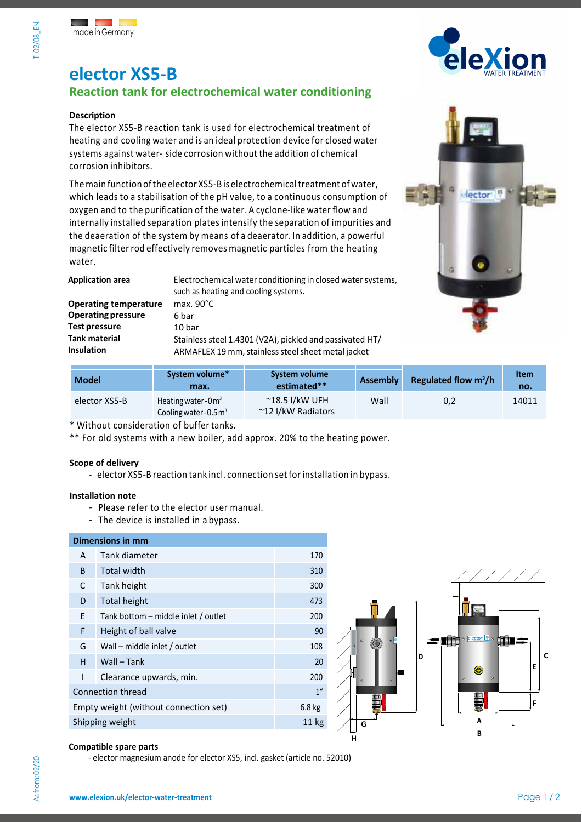# **elector XS5-B**

## **Reaction tank for electrochemical water conditioning**

#### **Description**

The elector XS5-B reaction tank is used for electrochemical treatment of heating and cooling water and is an ideal protection device for closed water systems against water- side corrosion without the addition of chemical corrosion inhibitors.

Themain function ofthe elector XS5-B is electrochemicaltreatment ofwater, which leads to a stabilisation of the pH value, to a continuous consumption of oxygen and to the purification of the water. A cyclone-like water flow and internally installed separation plates intensify the separation of impurities and the deaeration of the system by means of a deaerator. In addition, a powerful magnetic filter rod effectively removes magnetic particles from the heating water.

| <b>Application area</b>      | Electrochemical water conditioning in closed water systems,<br>such as heating and cooling systems. |  |  |
|------------------------------|-----------------------------------------------------------------------------------------------------|--|--|
| <b>Operating temperature</b> | max. $90^{\circ}$ C                                                                                 |  |  |
| <b>Operating pressure</b>    | 6 bar                                                                                               |  |  |
| <b>Test pressure</b>         | 10 <sub>bar</sub>                                                                                   |  |  |
| <b>Tank material</b>         | Stainless steel 1.4301 (V2A), pickled and passivated HT/                                            |  |  |
| <b>Insulation</b>            | ARMAFLEX 19 mm, stainless steel sheet metal jacket                                                  |  |  |





| <b>Model</b>  | System volume*<br>max.                                   | System volume<br>estimated**                  | <b>Assembly</b> | Regulated flow $m^3/h$ | <b>Item</b><br>no. |
|---------------|----------------------------------------------------------|-----------------------------------------------|-----------------|------------------------|--------------------|
| elector XS5-B | Heating water-0 $\mathsf{m}^3$<br>Cooling water-0.5 $m3$ | $^{\sim}$ 18.5 l/kW UFH<br>~12 I/kW Radiators | Wall            | 0,2                    | 14011              |

\* Without consideration of buffer tanks.

\*\* For old systems with a new boiler, add approx. 20% to the heating power.

#### **Scope of delivery**

- elector XS5-B reaction tank incl. connection setfor installation in bypass.

#### **Installation note**

- Please refer to the elector user manual.
- The device is installed in a bypass.

### **Dimensions in mm**  A Tank diameter 170 B Total width 310 C Tank height 300 D Total height 473 E Tank bottom – middle inlet / outlet 200 F Height of ball valve 80 and 100 million 90 G Wall – middle inlet / outlet 108 H Wall – Tank 20 I Clearance upwards, min. 200 **Connection thread 1"** 2007 1" Empty weight (without connection set) 6.8 kg Shipping weight 11 kg



#### **Compatible spare parts**

- elector magnesium anode for elector XS5, incl. gasket (article no. 52010)